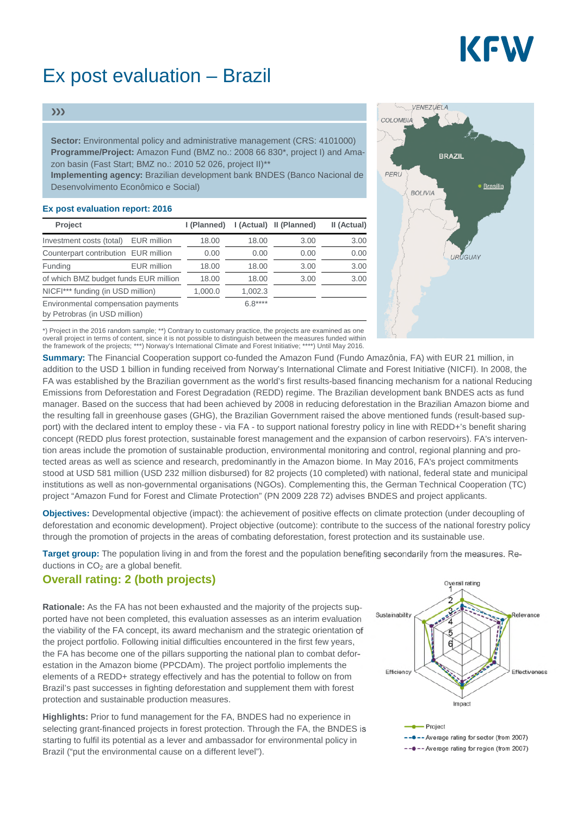# KFW

## Ex post evaluation – Brazil

#### $\rangle\rangle$

**Sector:** Environmental policy and administrative management (CRS: 4101000) **Programme/Project:** Amazon Fund (BMZ no.: 2008 66 830\*, project I) and Amazon basin (Fast Start; BMZ no.: 2010 52 026, project II)\*\*

**Implementing agency:** Brazilian development bank BNDES (Banco Nacional de Desenvolvimento Econômico e Social)

#### **Ex post evaluation report: 2016**

| Project                                                              | I (Planned) |          | I (Actual) II (Planned) | II (Actual) |
|----------------------------------------------------------------------|-------------|----------|-------------------------|-------------|
| <b>EUR</b> million<br>Investment costs (total)                       | 18.00       | 18.00    | 3.00                    | 3.00        |
| Counterpart contribution EUR million                                 | 0.00        | 0.00     | 0.00                    | 0.00        |
| Funding<br><b>EUR</b> million                                        | 18.00       | 18.00    | 3.00                    | 3.00        |
| of which BMZ budget funds EUR million                                | 18.00       | 18.00    | 3.00                    | 3.00        |
| NICFI*** funding (in USD million)                                    | 1,000.0     | 1,002.3  |                         |             |
| Environmental compensation payments<br>by Petrobras (in USD million) |             | $6.8***$ |                         |             |



\*) Project in the 2016 random sample; \*\*) Contrary to customary practice, the projects are examined as one overall project in terms of content, since it is not possible to distinguish between the measures funded within the framework of the projects; \*\*\*) Norway's International Climate and Forest Initiative; \*\*\*\*) Until May 2016.

**Summary:** The Financial Cooperation support co-funded the Amazon Fund (Fundo Amazônia, FA) with EUR 21 million, in addition to the USD 1 billion in funding received from Norway's International Climate and Forest Initiative (NICFI). In 2008, the FA was established by the Brazilian government as the world's first results-based financing mechanism for a national Reducing Emissions from Deforestation and Forest Degradation (REDD) regime. The Brazilian development bank BNDES acts as fund manager. Based on the success that had been achieved by 2008 in reducing deforestation in the Brazilian Amazon biome and the resulting fall in greenhouse gases (GHG), the Brazilian Government raised the above mentioned funds (result-based support) with the declared intent to employ these - via FA - to support national forestry policy in line with REDD+'s benefit sharing concept (REDD plus forest protection, sustainable forest management and the expansion of carbon reservoirs). FA's intervention areas include the promotion of sustainable production, environmental monitoring and control, regional planning and protected areas as well as science and research, predominantly in the Amazon biome. In May 2016, FA's project commitments stood at USD 581 million (USD 232 million disbursed) for 82 projects (10 completed) with national, federal state and municipal institutions as well as non-governmental organisations (NGOs). Complementing this, the German Technical Cooperation (TC) project "Amazon Fund for Forest and Climate Protection" (PN 2009 228 72) advises BNDES and project applicants.

**Objectives:** Developmental objective (impact): the achievement of positive effects on climate protection (under decoupling of deforestation and economic development). Project objective (outcome): contribute to the success of the national forestry policy through the promotion of projects in the areas of combating deforestation, forest protection and its sustainable use.

**Target group:** The population living in and from the forest and the population benefiting secondarily from the measures. Reductions in  $CO<sub>2</sub>$  are a global benefit.

#### **Overall rating: 2 (both projects)**

**Rationale:** As the FA has not been exhausted and the majority of the projects supported have not been completed, this evaluation assesses as an interim evaluation the viability of the FA concept, its award mechanism and the strategic orientation of the project portfolio. Following initial difficulties encountered in the first few years, the FA has become one of the pillars supporting the national plan to combat deforestation in the Amazon biome (PPCDAm). The project portfolio implements the elements of a REDD+ strategy effectively and has the potential to follow on from Brazil's past successes in fighting deforestation and supplement them with forest protection and sustainable production measures.

**Highlights:** Prior to fund management for the FA, BNDES had no experience in selecting grant-financed projects in forest protection. Through the FA, the BNDES is starting to fulfil its potential as a lever and ambassador for environmental policy in Brazil ("put the environmental cause on a different level").

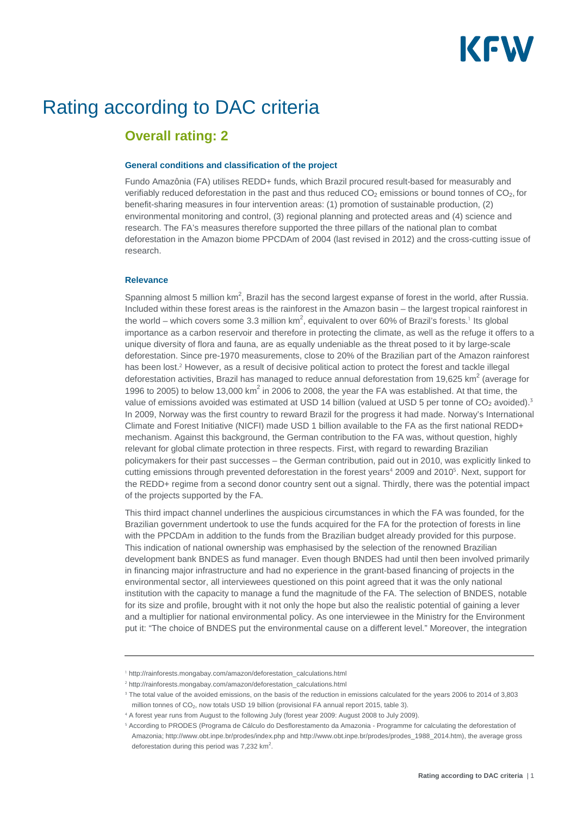

### Rating according to DAC criteria

### **Overall rating: 2**

#### **General conditions and classification of the project**

Fundo Amazônia (FA) utilises REDD+ funds, which Brazil procured result-based for measurably and verifiably reduced deforestation in the past and thus reduced  $CO<sub>2</sub>$  emissions or bound tonnes of  $CO<sub>2</sub>$ , for benefit-sharing measures in four intervention areas: (1) promotion of sustainable production, (2) environmental monitoring and control, (3) regional planning and protected areas and (4) science and research. The FA's measures therefore supported the three pillars of the national plan to combat deforestation in the Amazon biome PPCDAm of 2004 (last revised in 2012) and the cross-cutting issue of research.

#### **Relevance**

Spanning almost 5 million  $km^2$ , Brazil has the second largest expanse of forest in the world, after Russia. Included within these forest areas is the rainforest in the Amazon basin – the largest tropical rainforest in the world – which covers some 3.3 million km<sup>2</sup>, equivalent to over 60% of Brazil's forests.<sup>1</sup> Its global importance as a carbon reservoir and therefore in protecting the climate, as well as the refuge it offers to a unique diversity of flora and fauna, are as equally undeniable as the threat posed to it by large-scale deforestation. Since pre-1970 measurements, close to 20% of the Brazilian part of the Amazon rainforest has been lost.<sup>2</sup> However, as a result of decisive political action to protect the forest and tackle illegal deforestation activities, Brazil has managed to reduce annual deforestation from 19,625 km<sup>2</sup> (average for 1996 to 2005) to below 13,000  $km^2$  in 2006 to 2008, the year the FA was established. At that time, the value of emissions avoided was estimated at USD 14 billion (valued at USD 5 per tonne of  $CO<sub>2</sub>$  avoided).<sup>3</sup> In 2009, Norway was the first country to reward Brazil for the progress it had made. Norway's International Climate and Forest Initiative (NICFI) made USD 1 billion available to the FA as the first national REDD+ mechanism. Against this background, the German contribution to the FA was, without question, highly relevant for global climate protection in three respects. First, with regard to rewarding Brazilian policymakers for their past successes – the German contribution, paid out in 2010, was explicitly linked to cutting emissions through prevented deforestation in the forest years<sup>4</sup> 2009 and 2010<sup>5</sup>. Next, support for the REDD+ regime from a second donor country sent out a signal. Thirdly, there was the potential impact of the projects supported by the FA.

This third impact channel underlines the auspicious circumstances in which the FA was founded, for the Brazilian government undertook to use the funds acquired for the FA for the protection of forests in line with the PPCDAm in addition to the funds from the Brazilian budget already provided for this purpose. This indication of national ownership was emphasised by the selection of the renowned Brazilian development bank BNDES as fund manager. Even though BNDES had until then been involved primarily in financing major infrastructure and had no experience in the grant-based financing of projects in the environmental sector, all interviewees questioned on this point agreed that it was the only national institution with the capacity to manage a fund the magnitude of the FA. The selection of BNDES, notable for its size and profile, brought with it not only the hope but also the realistic potential of gaining a lever and a multiplier for national environmental policy. As one interviewee in the Ministry for the Environment put it: "The choice of BNDES put the environmental cause on a different level." Moreover, the integration

<sup>1</sup> http://rainforests.mongabay.com/amazon/deforestation\_calculations.html

<sup>&</sup>lt;sup>2</sup> http://rainforests.mongabay.com/amazon/deforestation\_calculations.html

<sup>&</sup>lt;sup>3</sup> The total value of the avoided emissions, on the basis of the reduction in emissions calculated for the years 2006 to 2014 of 3,803 million tonnes of  $CO<sub>2</sub>$ , now totals USD 19 billion (provisional FA annual report 2015, table 3).

<sup>4</sup> A forest year runs from August to the following July (forest year 2009: August 2008 to July 2009).

<sup>&</sup>lt;sup>5</sup> According to PRODES (Programa de Cálculo do Desflorestamento da Amazonia - Programme for calculating the deforestation of Amazonia; http://www.obt.inpe.br/prodes/index.php and http://www.obt.inpe.br/prodes/prodes\_1988\_2014.htm), the average gross deforestation during this period was  $7,232$  km<sup>2</sup>.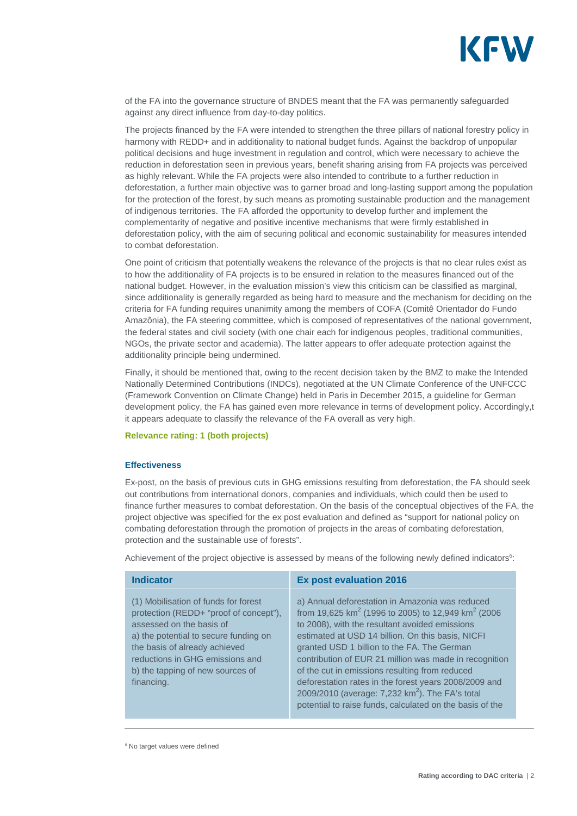

of the FA into the governance structure of BNDES meant that the FA was permanently safeguarded against any direct influence from day-to-day politics.

The projects financed by the FA were intended to strengthen the three pillars of national forestry policy in harmony with REDD+ and in additionality to national budget funds. Against the backdrop of unpopular political decisions and huge investment in regulation and control, which were necessary to achieve the reduction in deforestation seen in previous years, benefit sharing arising from FA projects was perceived as highly relevant. While the FA projects were also intended to contribute to a further reduction in deforestation, a further main objective was to garner broad and long-lasting support among the population for the protection of the forest, by such means as promoting sustainable production and the management of indigenous territories. The FA afforded the opportunity to develop further and implement the complementarity of negative and positive incentive mechanisms that were firmly established in deforestation policy, with the aim of securing political and economic sustainability for measures intended to combat deforestation.

One point of criticism that potentially weakens the relevance of the projects is that no clear rules exist as to how the additionality of FA projects is to be ensured in relation to the measures financed out of the national budget. However, in the evaluation mission's view this criticism can be classified as marginal, since additionality is generally regarded as being hard to measure and the mechanism for deciding on the criteria for FA funding requires unanimity among the members of COFA (Comitê Orientador do Fundo Amazônia), the FA steering committee, which is composed of representatives of the national government, the federal states and civil society (with one chair each for indigenous peoples, traditional communities, NGOs, the private sector and academia). The latter appears to offer adequate protection against the additionality principle being undermined.

Finally, it should be mentioned that, owing to the recent decision taken by the BMZ to make the Intended Nationally Determined Contributions (INDCs), negotiated at the UN Climate Conference of the UNFCCC (Framework Convention on Climate Change) held in Paris in December 2015, a guideline for German development policy, the FA has gained even more relevance in terms of development policy. Accordingly,t it appears adequate to classify the relevance of the FA overall as very high.

#### **Relevance rating: 1 (both projects)**

#### **Effectiveness**

Ex-post, on the basis of previous cuts in GHG emissions resulting from deforestation, the FA should seek out contributions from international donors, companies and individuals, which could then be used to finance further measures to combat deforestation. On the basis of the conceptual objectives of the FA, the project objective was specified for the ex post evaluation and defined as "support for national policy on combating deforestation through the promotion of projects in the areas of combating deforestation, protection and the sustainable use of forests".

Achievement of the project objective is assessed by means of the following newly defined indicators<sup>6</sup>:

| <b>Indicator</b>                                                                                                                                                                                                                                                          | <b>Ex post evaluation 2016</b>                                                                                                                                                                                                                                                                                                                                                                                                                                                                                                                                                         |
|---------------------------------------------------------------------------------------------------------------------------------------------------------------------------------------------------------------------------------------------------------------------------|----------------------------------------------------------------------------------------------------------------------------------------------------------------------------------------------------------------------------------------------------------------------------------------------------------------------------------------------------------------------------------------------------------------------------------------------------------------------------------------------------------------------------------------------------------------------------------------|
| (1) Mobilisation of funds for forest<br>protection (REDD+ "proof of concept"),<br>assessed on the basis of<br>a) the potential to secure funding on<br>the basis of already achieved<br>reductions in GHG emissions and<br>b) the tapping of new sources of<br>financing. | a) Annual deforestation in Amazonia was reduced<br>from 19,625 km <sup>2</sup> (1996 to 2005) to 12,949 km <sup>2</sup> (2006)<br>to 2008), with the resultant avoided emissions<br>estimated at USD 14 billion. On this basis, NICFI<br>granted USD 1 billion to the FA. The German<br>contribution of EUR 21 million was made in recognition<br>of the cut in emissions resulting from reduced<br>deforestation rates in the forest years 2008/2009 and<br>2009/2010 (average: $7,232$ km <sup>2</sup> ). The FA's total<br>potential to raise funds, calculated on the basis of the |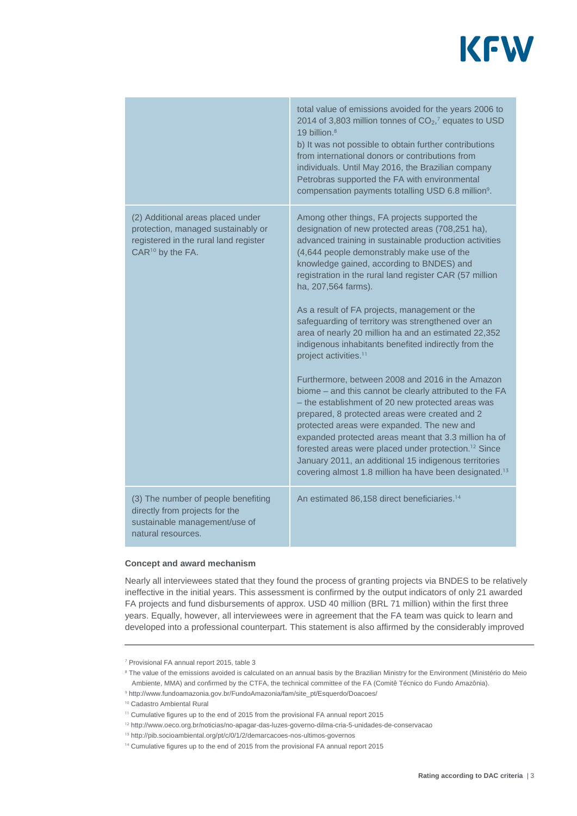

|                                                                                                                                                  | total value of emissions avoided for the years 2006 to<br>2014 of 3,803 million tonnes of $CO2$ , <sup>7</sup> equates to USD<br>19 billion. $8$<br>b) It was not possible to obtain further contributions<br>from international donors or contributions from<br>individuals. Until May 2016, the Brazilian company<br>Petrobras supported the FA with environmental<br>compensation payments totalling USD 6.8 million <sup>9</sup> .                                                                                                                                                                                                                                                                                                                                                                                                                                                                                                                                                                                                                                                                                               |
|--------------------------------------------------------------------------------------------------------------------------------------------------|--------------------------------------------------------------------------------------------------------------------------------------------------------------------------------------------------------------------------------------------------------------------------------------------------------------------------------------------------------------------------------------------------------------------------------------------------------------------------------------------------------------------------------------------------------------------------------------------------------------------------------------------------------------------------------------------------------------------------------------------------------------------------------------------------------------------------------------------------------------------------------------------------------------------------------------------------------------------------------------------------------------------------------------------------------------------------------------------------------------------------------------|
| (2) Additional areas placed under<br>protection, managed sustainably or<br>registered in the rural land register<br>CAR <sup>10</sup> by the FA. | Among other things, FA projects supported the<br>designation of new protected areas (708,251 ha),<br>advanced training in sustainable production activities<br>(4,644 people demonstrably make use of the<br>knowledge gained, according to BNDES) and<br>registration in the rural land register CAR (57 million<br>ha, 207,564 farms).<br>As a result of FA projects, management or the<br>safeguarding of territory was strengthened over an<br>area of nearly 20 million ha and an estimated 22,352<br>indigenous inhabitants benefited indirectly from the<br>project activities. <sup>11</sup><br>Furthermore, between 2008 and 2016 in the Amazon<br>biome – and this cannot be clearly attributed to the FA<br>- the establishment of 20 new protected areas was<br>prepared, 8 protected areas were created and 2<br>protected areas were expanded. The new and<br>expanded protected areas meant that 3.3 million ha of<br>forested areas were placed under protection. <sup>12</sup> Since<br>January 2011, an additional 15 indigenous territories<br>covering almost 1.8 million ha have been designated. <sup>13</sup> |
| (3) The number of people benefiting<br>directly from projects for the<br>sustainable management/use of<br>natural resources.                     | An estimated 86,158 direct beneficiaries. <sup>14</sup>                                                                                                                                                                                                                                                                                                                                                                                                                                                                                                                                                                                                                                                                                                                                                                                                                                                                                                                                                                                                                                                                              |

#### **Concept and award mechanism**

Nearly all interviewees stated that they found the process of granting projects via BNDES to be relatively ineffective in the initial years. This assessment is confirmed by the output indicators of only 21 awarded FA projects and fund disbursements of approx. USD 40 million (BRL 71 million) within the first three years. Equally, however, all interviewees were in agreement that the FA team was quick to learn and developed into a professional counterpart. This statement is also affirmed by the considerably improved

<sup>7</sup> Provisional FA annual report 2015, table 3

<sup>&</sup>lt;sup>8</sup> The value of the emissions avoided is calculated on an annual basis by the Brazilian Ministry for the Environment (Ministério do Meio Ambiente, MMA) and confirmed by the CTFA, the technical committee of the FA (Comitê Técnico do Fundo Amazônia).

<sup>9</sup> http://www.fundoamazonia.gov.br/FundoAmazonia/fam/site\_pt/Esquerdo/Doacoes/

<sup>10</sup> Cadastro Ambiental Rural

<sup>&</sup>lt;sup>11</sup> Cumulative figures up to the end of 2015 from the provisional FA annual report 2015

<sup>12</sup> http://www.oeco.org.br/noticias/no-apagar-das-luzes-governo-dilma-cria-5-unidades-de-conservacao

<sup>&</sup>lt;sup>13</sup> http://pib.socioambiental.org/pt/c/0/1/2/demarcacoes-nos-ultimos-governos

<sup>&</sup>lt;sup>14</sup> Cumulative figures up to the end of 2015 from the provisional FA annual report 2015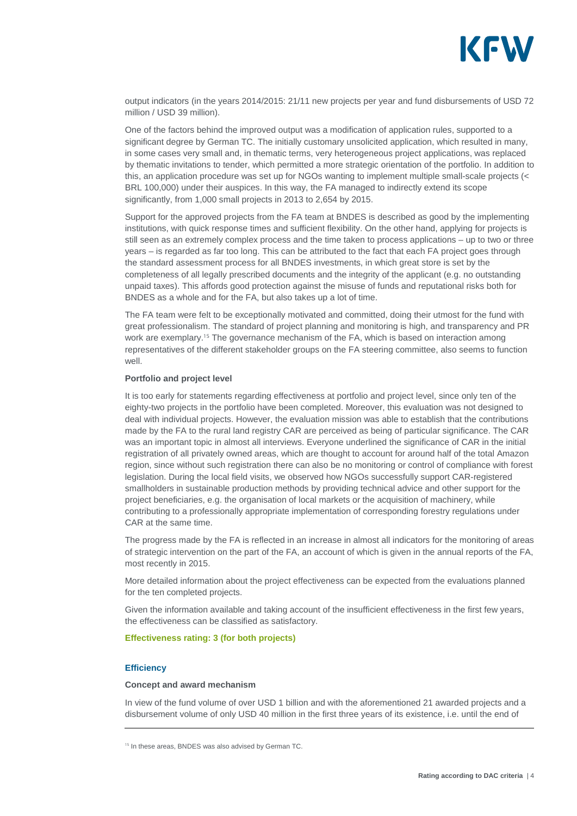

output indicators (in the years 2014/2015: 21/11 new projects per year and fund disbursements of USD 72 million / USD 39 million).

One of the factors behind the improved output was a modification of application rules, supported to a significant degree by German TC. The initially customary unsolicited application, which resulted in many, in some cases very small and, in thematic terms, very heterogeneous project applications, was replaced by thematic invitations to tender, which permitted a more strategic orientation of the portfolio. In addition to this, an application procedure was set up for NGOs wanting to implement multiple small-scale projects (< BRL 100,000) under their auspices. In this way, the FA managed to indirectly extend its scope significantly, from 1,000 small projects in 2013 to 2,654 by 2015.

Support for the approved projects from the FA team at BNDES is described as good by the implementing institutions, with quick response times and sufficient flexibility. On the other hand, applying for projects is still seen as an extremely complex process and the time taken to process applications – up to two or three years – is regarded as far too long. This can be attributed to the fact that each FA project goes through the standard assessment process for all BNDES investments, in which great store is set by the completeness of all legally prescribed documents and the integrity of the applicant (e.g. no outstanding unpaid taxes). This affords good protection against the misuse of funds and reputational risks both for BNDES as a whole and for the FA, but also takes up a lot of time.

The FA team were felt to be exceptionally motivated and committed, doing their utmost for the fund with great professionalism. The standard of project planning and monitoring is high, and transparency and PR work are exemplary.<sup>15</sup> The governance mechanism of the FA, which is based on interaction among representatives of the different stakeholder groups on the FA steering committee, also seems to function well.

#### **Portfolio and project level**

It is too early for statements regarding effectiveness at portfolio and project level, since only ten of the eighty-two projects in the portfolio have been completed. Moreover, this evaluation was not designed to deal with individual projects. However, the evaluation mission was able to establish that the contributions made by the FA to the rural land registry CAR are perceived as being of particular significance. The CAR was an important topic in almost all interviews. Everyone underlined the significance of CAR in the initial registration of all privately owned areas, which are thought to account for around half of the total Amazon region, since without such registration there can also be no monitoring or control of compliance with forest legislation. During the local field visits, we observed how NGOs successfully support CAR-registered smallholders in sustainable production methods by providing technical advice and other support for the project beneficiaries, e.g. the organisation of local markets or the acquisition of machinery, while contributing to a professionally appropriate implementation of corresponding forestry regulations under CAR at the same time.

The progress made by the FA is reflected in an increase in almost all indicators for the monitoring of areas of strategic intervention on the part of the FA, an account of which is given in the annual reports of the FA, most recently in 2015.

More detailed information about the project effectiveness can be expected from the evaluations planned for the ten completed projects.

Given the information available and taking account of the insufficient effectiveness in the first few years, the effectiveness can be classified as satisfactory.

#### **Effectiveness rating: 3 (for both projects)**

#### **Efficiency**

#### **Concept and award mechanism**

In view of the fund volume of over USD 1 billion and with the aforementioned 21 awarded projects and a disbursement volume of only USD 40 million in the first three years of its existence, i.e. until the end of

<sup>&</sup>lt;sup>15</sup> In these areas, BNDES was also advised by German TC.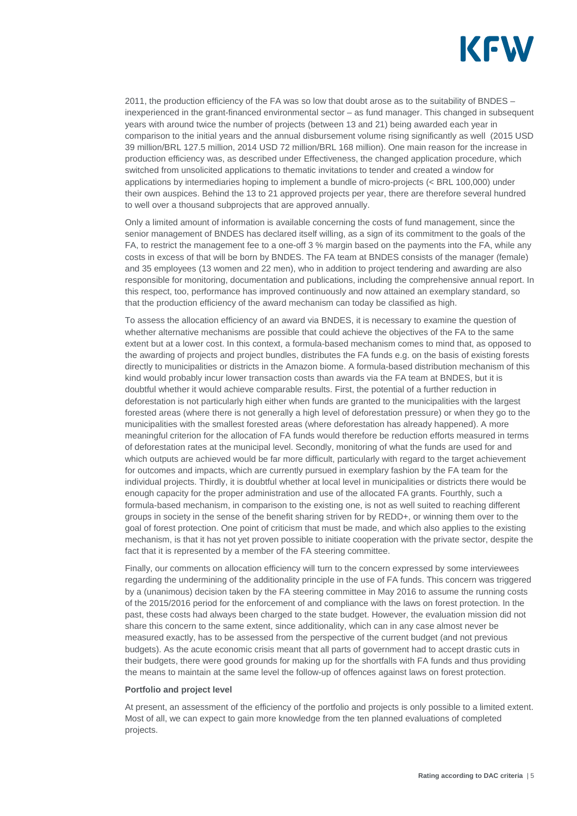

2011, the production efficiency of the FA was so low that doubt arose as to the suitability of BNDES – inexperienced in the grant-financed environmental sector – as fund manager. This changed in subsequent years with around twice the number of projects (between 13 and 21) being awarded each year in comparison to the initial years and the annual disbursement volume rising significantly as well (2015 USD 39 million/BRL 127.5 million, 2014 USD 72 million/BRL 168 million). One main reason for the increase in production efficiency was, as described under Effectiveness, the changed application procedure, which switched from unsolicited applications to thematic invitations to tender and created a window for applications by intermediaries hoping to implement a bundle of micro-projects (< BRL 100,000) under their own auspices. Behind the 13 to 21 approved projects per year, there are therefore several hundred to well over a thousand subprojects that are approved annually.

Only a limited amount of information is available concerning the costs of fund management, since the senior management of BNDES has declared itself willing, as a sign of its commitment to the goals of the FA, to restrict the management fee to a one-off 3 % margin based on the payments into the FA, while any costs in excess of that will be born by BNDES. The FA team at BNDES consists of the manager (female) and 35 employees (13 women and 22 men), who in addition to project tendering and awarding are also responsible for monitoring, documentation and publications, including the comprehensive annual report. In this respect, too, performance has improved continuously and now attained an exemplary standard, so that the production efficiency of the award mechanism can today be classified as high.

To assess the allocation efficiency of an award via BNDES, it is necessary to examine the question of whether alternative mechanisms are possible that could achieve the objectives of the FA to the same extent but at a lower cost. In this context, a formula-based mechanism comes to mind that, as opposed to the awarding of projects and project bundles, distributes the FA funds e.g. on the basis of existing forests directly to municipalities or districts in the Amazon biome. A formula-based distribution mechanism of this kind would probably incur lower transaction costs than awards via the FA team at BNDES, but it is doubtful whether it would achieve comparable results. First, the potential of a further reduction in deforestation is not particularly high either when funds are granted to the municipalities with the largest forested areas (where there is not generally a high level of deforestation pressure) or when they go to the municipalities with the smallest forested areas (where deforestation has already happened). A more meaningful criterion for the allocation of FA funds would therefore be reduction efforts measured in terms of deforestation rates at the municipal level. Secondly, monitoring of what the funds are used for and which outputs are achieved would be far more difficult, particularly with regard to the target achievement for outcomes and impacts, which are currently pursued in exemplary fashion by the FA team for the individual projects. Thirdly, it is doubtful whether at local level in municipalities or districts there would be enough capacity for the proper administration and use of the allocated FA grants. Fourthly, such a formula-based mechanism, in comparison to the existing one, is not as well suited to reaching different groups in society in the sense of the benefit sharing striven for by REDD+, or winning them over to the goal of forest protection. One point of criticism that must be made, and which also applies to the existing mechanism, is that it has not yet proven possible to initiate cooperation with the private sector, despite the fact that it is represented by a member of the FA steering committee.

Finally, our comments on allocation efficiency will turn to the concern expressed by some interviewees regarding the undermining of the additionality principle in the use of FA funds. This concern was triggered by a (unanimous) decision taken by the FA steering committee in May 2016 to assume the running costs of the 2015/2016 period for the enforcement of and compliance with the laws on forest protection. In the past, these costs had always been charged to the state budget. However, the evaluation mission did not share this concern to the same extent, since additionality, which can in any case almost never be measured exactly, has to be assessed from the perspective of the current budget (and not previous budgets). As the acute economic crisis meant that all parts of government had to accept drastic cuts in their budgets, there were good grounds for making up for the shortfalls with FA funds and thus providing the means to maintain at the same level the follow-up of offences against laws on forest protection.

#### **Portfolio and project level**

At present, an assessment of the efficiency of the portfolio and projects is only possible to a limited extent. Most of all, we can expect to gain more knowledge from the ten planned evaluations of completed projects.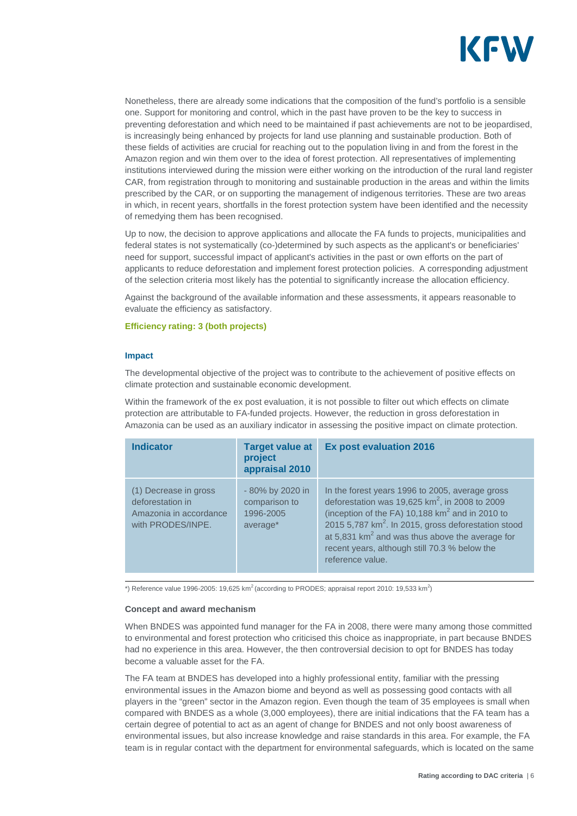

Nonetheless, there are already some indications that the composition of the fund's portfolio is a sensible one. Support for monitoring and control, which in the past have proven to be the key to success in preventing deforestation and which need to be maintained if past achievements are not to be jeopardised, is increasingly being enhanced by projects for land use planning and sustainable production. Both of these fields of activities are crucial for reaching out to the population living in and from the forest in the Amazon region and win them over to the idea of forest protection. All representatives of implementing institutions interviewed during the mission were either working on the introduction of the rural land register CAR, from registration through to monitoring and sustainable production in the areas and within the limits prescribed by the CAR, or on supporting the management of indigenous territories. These are two areas in which, in recent years, shortfalls in the forest protection system have been identified and the necessity of remedying them has been recognised.

Up to now, the decision to approve applications and allocate the FA funds to projects, municipalities and federal states is not systematically (co-)determined by such aspects as the applicant's or beneficiaries' need for support, successful impact of applicant's activities in the past or own efforts on the part of applicants to reduce deforestation and implement forest protection policies. A corresponding adjustment of the selection criteria most likely has the potential to significantly increase the allocation efficiency.

Against the background of the available information and these assessments, it appears reasonable to evaluate the efficiency as satisfactory.

#### **Efficiency rating: 3 (both projects)**

#### **Impact**

The developmental objective of the project was to contribute to the achievement of positive effects on climate protection and sustainable economic development.

Within the framework of the ex post evaluation, it is not possible to filter out which effects on climate protection are attributable to FA-funded projects. However, the reduction in gross deforestation in Amazonia can be used as an auxiliary indicator in assessing the positive impact on climate protection.

| <b>Indicator</b>                                                                         | <b>Target value at</b><br>project<br>appraisal 2010        | <b>Ex post evaluation 2016</b>                                                                                                                                                                                                                                                                                                                                     |
|------------------------------------------------------------------------------------------|------------------------------------------------------------|--------------------------------------------------------------------------------------------------------------------------------------------------------------------------------------------------------------------------------------------------------------------------------------------------------------------------------------------------------------------|
| (1) Decrease in gross<br>deforestation in<br>Amazonia in accordance<br>with PRODES/INPE. | - 80% by 2020 in<br>comparison to<br>1996-2005<br>average* | In the forest years 1996 to 2005, average gross<br>deforestation was 19,625 $km^2$ , in 2008 to 2009<br>(inception of the FA) $10,188$ km <sup>2</sup> and in 2010 to<br>2015 5,787 km <sup>2</sup> . In 2015, gross deforestation stood<br>at 5,831 $km2$ and was thus above the average for<br>recent years, although still 70.3 % below the<br>reference value. |

\*) Reference value 1996-2005: 19,625 km<sup>2</sup> (according to PRODES; appraisal report 2010: 19,533 km<sup>2</sup>)

#### **Concept and award mechanism**

When BNDES was appointed fund manager for the FA in 2008, there were many among those committed to environmental and forest protection who criticised this choice as inappropriate, in part because BNDES had no experience in this area. However, the then controversial decision to opt for BNDES has today become a valuable asset for the FA.

The FA team at BNDES has developed into a highly professional entity, familiar with the pressing environmental issues in the Amazon biome and beyond as well as possessing good contacts with all players in the "green" sector in the Amazon region. Even though the team of 35 employees is small when compared with BNDES as a whole (3,000 employees), there are initial indications that the FA team has a certain degree of potential to act as an agent of change for BNDES and not only boost awareness of environmental issues, but also increase knowledge and raise standards in this area. For example, the FA team is in regular contact with the department for environmental safeguards, which is located on the same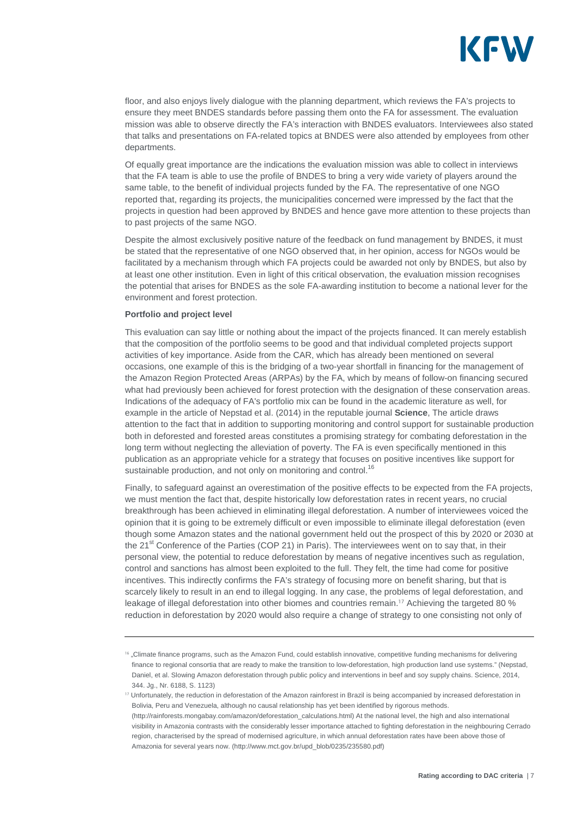

floor, and also enjoys lively dialogue with the planning department, which reviews the FA's projects to ensure they meet BNDES standards before passing them onto the FA for assessment. The evaluation mission was able to observe directly the FA's interaction with BNDES evaluators. Interviewees also stated that talks and presentations on FA-related topics at BNDES were also attended by employees from other departments.

Of equally great importance are the indications the evaluation mission was able to collect in interviews that the FA team is able to use the profile of BNDES to bring a very wide variety of players around the same table, to the benefit of individual projects funded by the FA. The representative of one NGO reported that, regarding its projects, the municipalities concerned were impressed by the fact that the projects in question had been approved by BNDES and hence gave more attention to these projects than to past projects of the same NGO.

Despite the almost exclusively positive nature of the feedback on fund management by BNDES, it must be stated that the representative of one NGO observed that, in her opinion, access for NGOs would be facilitated by a mechanism through which FA projects could be awarded not only by BNDES, but also by at least one other institution. Even in light of this critical observation, the evaluation mission recognises the potential that arises for BNDES as the sole FA-awarding institution to become a national lever for the environment and forest protection.

#### **Portfolio and project level**

This evaluation can say little or nothing about the impact of the projects financed. It can merely establish that the composition of the portfolio seems to be good and that individual completed projects support activities of key importance. Aside from the CAR, which has already been mentioned on several occasions, one example of this is the bridging of a two-year shortfall in financing for the management of the Amazon Region Protected Areas (ARPAs) by the FA, which by means of follow-on financing secured what had previously been achieved for forest protection with the designation of these conservation areas. Indications of the adequacy of FA's portfolio mix can be found in the academic literature as well, for example in the article of Nepstad et al. (2014) in the reputable journal **Science**, The article draws attention to the fact that in addition to supporting monitoring and control support for sustainable production both in deforested and forested areas constitutes a promising strategy for combating deforestation in the long term without neglecting the alleviation of poverty. The FA is even specifically mentioned in this publication as an appropriate vehicle for a strategy that focuses on positive incentives like support for sustainable production, and not only on monitoring and control.<sup>16</sup>

Finally, to safeguard against an overestimation of the positive effects to be expected from the FA projects, we must mention the fact that, despite historically low deforestation rates in recent years, no crucial breakthrough has been achieved in eliminating illegal deforestation. A number of interviewees voiced the opinion that it is going to be extremely difficult or even impossible to eliminate illegal deforestation (even though some Amazon states and the national government held out the prospect of this by 2020 or 2030 at the 21<sup>st</sup> Conference of the Parties (COP 21) in Paris). The interviewees went on to say that, in their personal view, the potential to reduce deforestation by means of negative incentives such as regulation, control and sanctions has almost been exploited to the full. They felt, the time had come for positive incentives. This indirectly confirms the FA's strategy of focusing more on benefit sharing, but that is scarcely likely to result in an end to illegal logging. In any case, the problems of legal deforestation, and leakage of illegal deforestation into other biomes and countries remain.<sup>17</sup> Achieving the targeted 80 % reduction in deforestation by 2020 would also require a change of strategy to one consisting not only of

<sup>&</sup>lt;sup>16</sup> "Climate finance programs, such as the Amazon Fund, could establish innovative, competitive funding mechanisms for delivering finance to regional consortia that are ready to make the transition to low-deforestation, high production land use systems." (Nepstad, Daniel, et al. Slowing Amazon deforestation through public policy and interventions in beef and soy supply chains. Science, 2014, 344. Jg., Nr. 6188, S. 1123)

<sup>&</sup>lt;sup>17</sup> Unfortunately, the reduction in deforestation of the Amazon rainforest in Brazil is being accompanied by increased deforestation in Bolivia, Peru and Venezuela, although no causal relationship has yet been identified by rigorous methods. (http://rainforests.mongabay.com/amazon/deforestation\_calculations.html) At the national level, the high and also international visibility in Amazonia contrasts with the considerably lesser importance attached to fighting deforestation in the neighbouring Cerrado region, characterised by the spread of modernised agriculture, in which annual deforestation rates have been above those of Amazonia for several years now. (http://www.mct.gov.br/upd\_blob/0235/235580.pdf)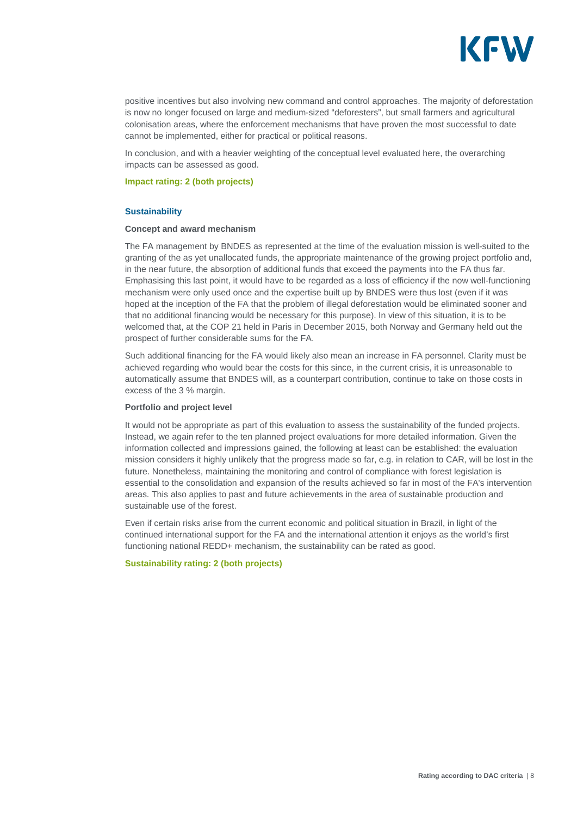

positive incentives but also involving new command and control approaches. The majority of deforestation is now no longer focused on large and medium-sized "deforesters", but small farmers and agricultural colonisation areas, where the enforcement mechanisms that have proven the most successful to date cannot be implemented, either for practical or political reasons.

In conclusion, and with a heavier weighting of the conceptual level evaluated here, the overarching impacts can be assessed as good.

#### **Impact rating: 2 (both projects)**

#### **Sustainability**

#### **Concept and award mechanism**

The FA management by BNDES as represented at the time of the evaluation mission is well-suited to the granting of the as yet unallocated funds, the appropriate maintenance of the growing project portfolio and, in the near future, the absorption of additional funds that exceed the payments into the FA thus far. Emphasising this last point, it would have to be regarded as a loss of efficiency if the now well-functioning mechanism were only used once and the expertise built up by BNDES were thus lost (even if it was hoped at the inception of the FA that the problem of illegal deforestation would be eliminated sooner and that no additional financing would be necessary for this purpose). In view of this situation, it is to be welcomed that, at the COP 21 held in Paris in December 2015, both Norway and Germany held out the prospect of further considerable sums for the FA.

Such additional financing for the FA would likely also mean an increase in FA personnel. Clarity must be achieved regarding who would bear the costs for this since, in the current crisis, it is unreasonable to automatically assume that BNDES will, as a counterpart contribution, continue to take on those costs in excess of the 3 % margin.

#### **Portfolio and project level**

It would not be appropriate as part of this evaluation to assess the sustainability of the funded projects. Instead, we again refer to the ten planned project evaluations for more detailed information. Given the information collected and impressions gained, the following at least can be established: the evaluation mission considers it highly unlikely that the progress made so far, e.g. in relation to CAR, will be lost in the future. Nonetheless, maintaining the monitoring and control of compliance with forest legislation is essential to the consolidation and expansion of the results achieved so far in most of the FA's intervention areas. This also applies to past and future achievements in the area of sustainable production and sustainable use of the forest.

Even if certain risks arise from the current economic and political situation in Brazil, in light of the continued international support for the FA and the international attention it enjoys as the world's first functioning national REDD+ mechanism, the sustainability can be rated as good.

#### **Sustainability rating: 2 (both projects)**